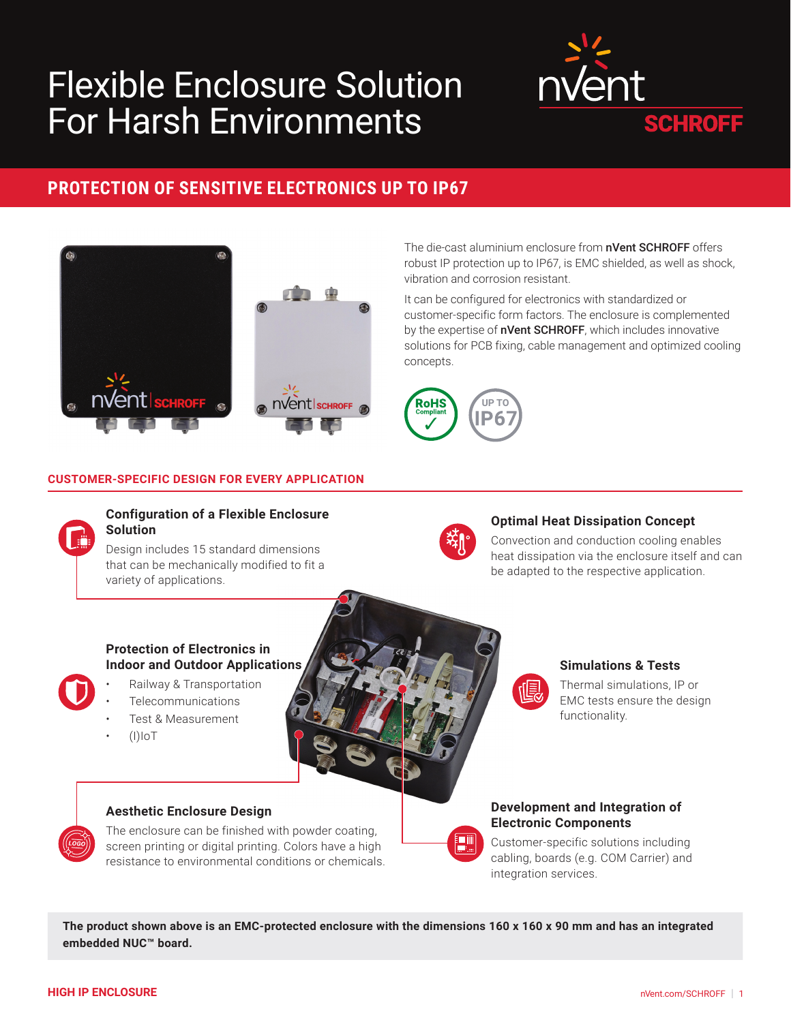# Flexible Enclosure Solution For Harsh Environments



### **PROTECTION OF SENSITIVE ELECTRONICS UP TO IP67**



The die-cast aluminium enclosure from **nVent SCHROFF** offers robust IP protection up to IP67, is EMC shielded, as well as shock, vibration and corrosion resistant.

It can be configured for electronics with standardized or customer-specific form factors. The enclosure is complemented by the expertise of **nVent SCHROFF**, which includes innovative solutions for PCB fixing, cable management and optimized cooling concepts.



#### **CUSTOMER-SPECIFIC DESIGN FOR EVERY APPLICATION**



#### **Configuration of a Flexible Enclosure Solution**

Design includes 15 standard dimensions that can be mechanically modified to fit a variety of applications.



#### **Optimal Heat Dissipation Concept**

Convection and conduction cooling enables heat dissipation via the enclosure itself and can be adapted to the respective application.

#### **Protection of Electronics in Indoor and Outdoor Applications**

## • Railway & Transportation

- **Telecommunications**
- Test & Measurement
- (I)IoT



偃

#### **Simulations & Tests**

Thermal simulations, IP or EMC tests ensure the design functionality.

#### **Aesthetic Enclosure Design**

The enclosure can be finished with powder coating, screen printing or digital printing. Colors have a high resistance to environmental conditions or chemicals.



#### **Development and Integration of Electronic Components**

Customer-specific solutions including cabling, boards (e.g. COM Carrier) and integration services.

**The product shown above is an EMC-protected enclosure with the dimensions 160 x 160 x 90 mm and has an integrated embedded NUC™ board.**